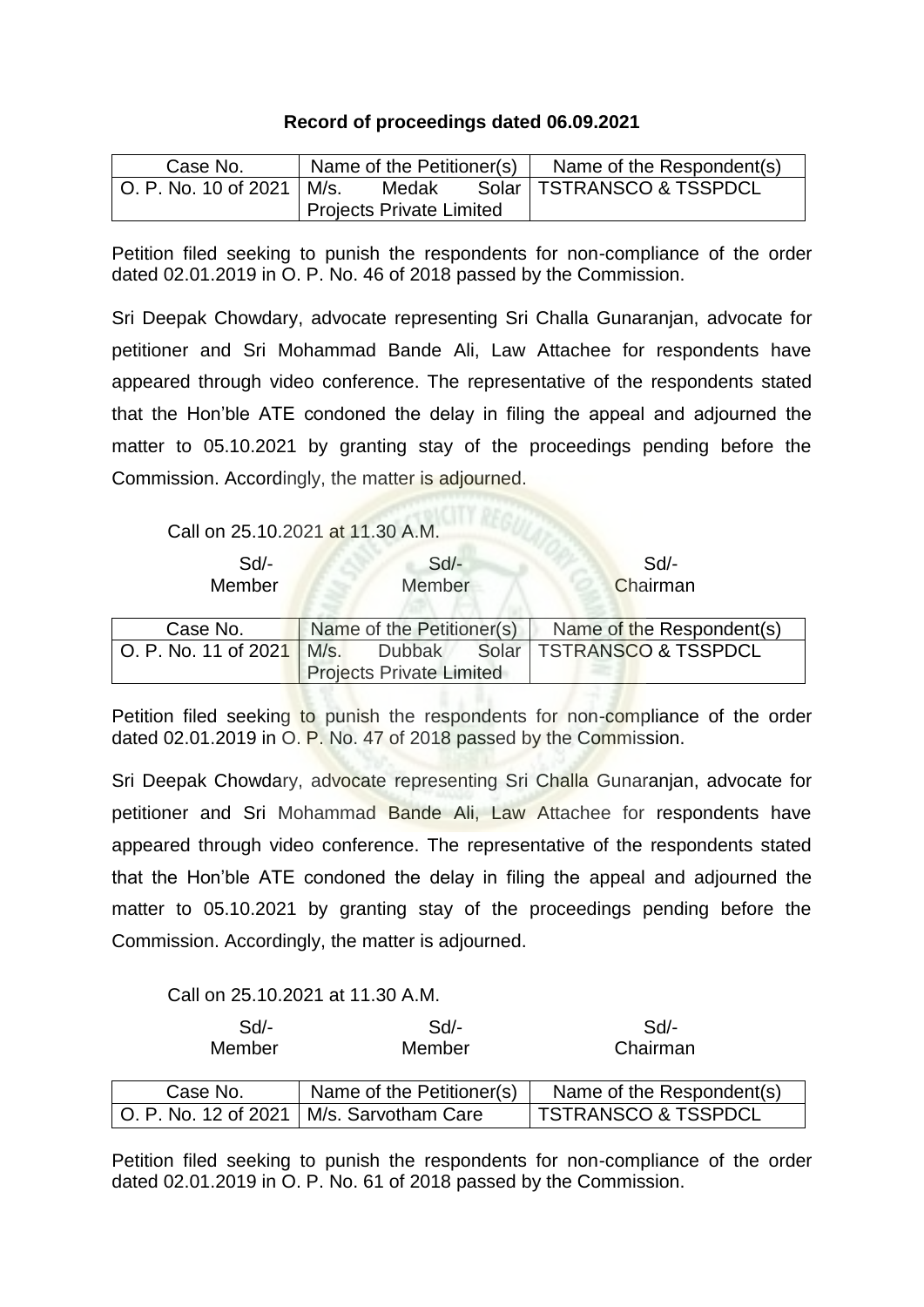## **Record of proceedings dated 06.09.2021**

| Case No.                      | Name of the Petitioner(s)       |  |  | Name of the Respondent(s)   |
|-------------------------------|---------------------------------|--|--|-----------------------------|
| └ O. P. No. 10 of 2021 │ M/s. | Medak                           |  |  | Solar   TSTRANSCO & TSSPDCL |
|                               | <b>Projects Private Limited</b> |  |  |                             |

Petition filed seeking to punish the respondents for non-compliance of the order dated 02.01.2019 in O. P. No. 46 of 2018 passed by the Commission.

Sri Deepak Chowdary, advocate representing Sri Challa Gunaranjan, advocate for petitioner and Sri Mohammad Bande Ali, Law Attachee for respondents have appeared through video conference. The representative of the respondents stated that the Hon'ble ATE condoned the delay in filing the appeal and adjourned the matter to 05.10.2021 by granting stay of the proceedings pending before the Commission. Accordingly, the matter is adjourned.

Call on 25.10.2021 at 11.30 A.M.

| Sd<br>Member         | $Sd$ -<br><b>Member</b>         |               |  | Sd<br>Chairman              |
|----------------------|---------------------------------|---------------|--|-----------------------------|
| Case No.             | Name of the Petitioner(s)       |               |  | Name of the Respondent(s)   |
| O. P. No. 11 of 2021 | M/s.                            | <b>Dubbak</b> |  | Solar   TSTRANSCO & TSSPDCL |
|                      | <b>Projects Private Limited</b> |               |  |                             |

Petition filed seeking to punish the respondents for non-compliance of the order dated 02.01.2019 in O. P. No. 47 of 2018 passed by the Commission.

Sri Deepak Chowdary, advocate representing Sri Challa Gunaranjan, advocate for petitioner and Sri Mohammad Bande Ali, Law Attachee for respondents have appeared through video conference. The representative of the respondents stated that the Hon'ble ATE condoned the delay in filing the appeal and adjourned the matter to 05.10.2021 by granting stay of the proceedings pending before the Commission. Accordingly, the matter is adjourned.

Call on 25.10.2021 at 11.30 A.M.

| Sd<br>Member | $Sd/-$<br>Member                           | $Sd$ -<br>Chairman        |
|--------------|--------------------------------------------|---------------------------|
| Case No.     | Name of the Petitioner(s)                  | Name of the Respondent(s) |
|              | O. P. No. 12 of 2021   M/s. Sarvotham Care | TSTRANSCO & TSSPDCL       |

Petition filed seeking to punish the respondents for non-compliance of the order dated 02.01.2019 in O. P. No. 61 of 2018 passed by the Commission.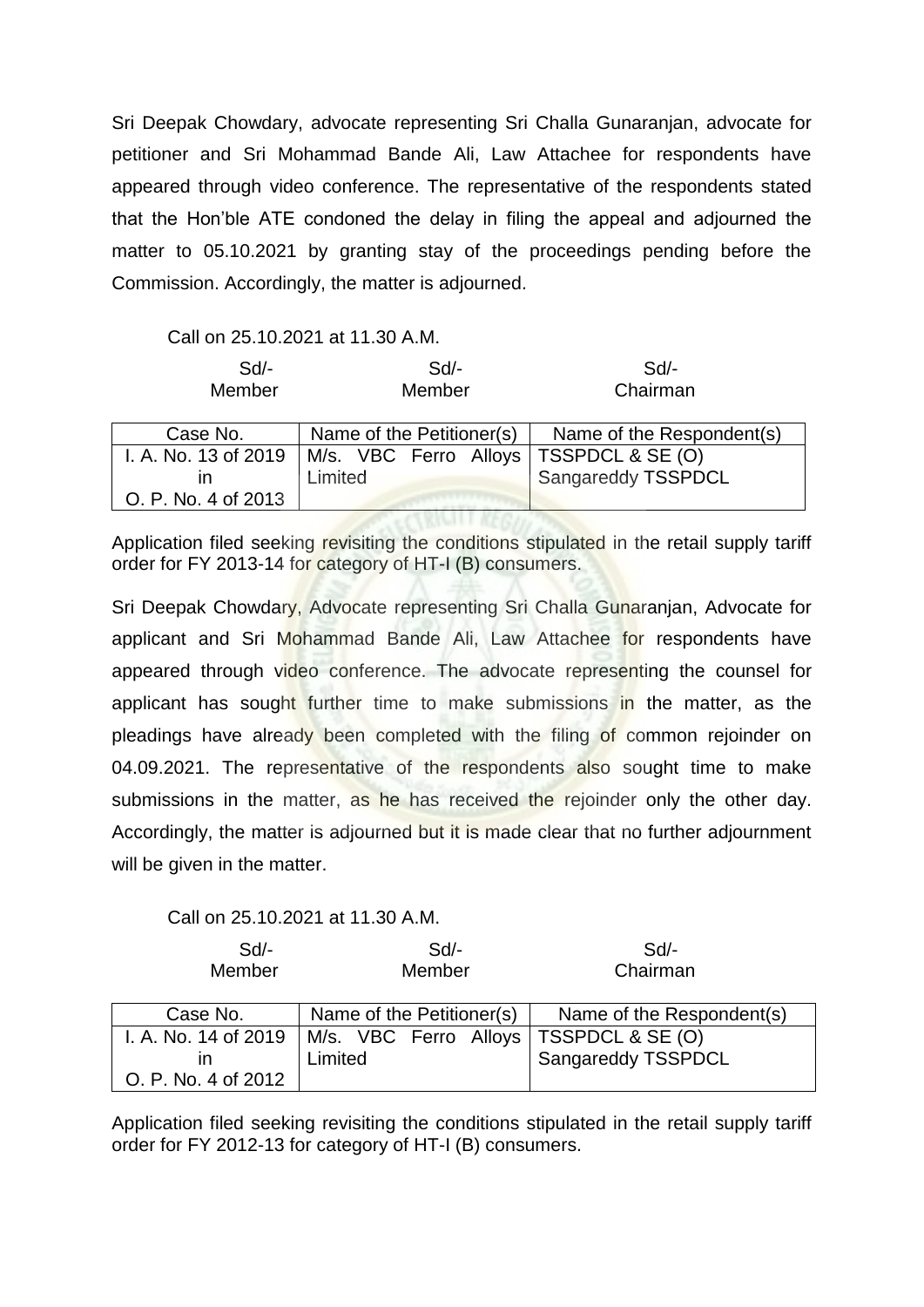Sri Deepak Chowdary, advocate representing Sri Challa Gunaranjan, advocate for petitioner and Sri Mohammad Bande Ali, Law Attachee for respondents have appeared through video conference. The representative of the respondents stated that the Hon'ble ATE condoned the delay in filing the appeal and adjourned the matter to 05.10.2021 by granting stay of the proceedings pending before the Commission. Accordingly, the matter is adjourned.

## Call on 25.10.2021 at 11.30 A.M.

| $Sd$ -<br>Member     | Sd<br>Member                             | Sd<br>Chairman            |
|----------------------|------------------------------------------|---------------------------|
| Case No.             | Name of the Petitioner(s)                | Name of the Respondent(s) |
| I. A. No. 13 of 2019 | M/s. VBC Ferro Alloys   TSSPDCL & SE (O) |                           |
| ın                   | Limited                                  | <b>Sangareddy TSSPDCL</b> |
| O. P. No. 4 of 2013  |                                          |                           |

Application filed seeking revisiting the conditions stipulated in the retail supply tariff order for FY 2013-14 for category of HT-I (B) consumers.

Sri Deepak Chowdary, Advocate representing Sri Challa Gunaranjan, Advocate for applicant and Sri Mohammad Bande Ali, Law Attachee for respondents have appeared through video conference. The advocate representing the counsel for applicant has sought further time to make submissions in the matter, as the pleadings have already been completed with the filing of common rejoinder on 04.09.2021. The representative of the respondents also sought time to make submissions in the matter, as he has received the rejoinder only the other day. Accordingly, the matter is adjourned but it is made clear that no further adjournment will be given in the matter.

## Call on 25.10.2021 at 11.30 A.M.

| Sd/-   | Sd     | Sd/-     |
|--------|--------|----------|
| Member | Member | Chairman |

| Case No.                                    | Name of the Petitioner(s)                           | Name of the Respondent(s) |
|---------------------------------------------|-----------------------------------------------------|---------------------------|
| I. A. No. 14 of 2019<br>O. P. No. 4 of 2012 | M/s. VBC Ferro Alloys   TSSPDCL & SE (O)<br>Limited | Sangareddy TSSPDCL        |

Application filed seeking revisiting the conditions stipulated in the retail supply tariff order for FY 2012-13 for category of HT-I (B) consumers.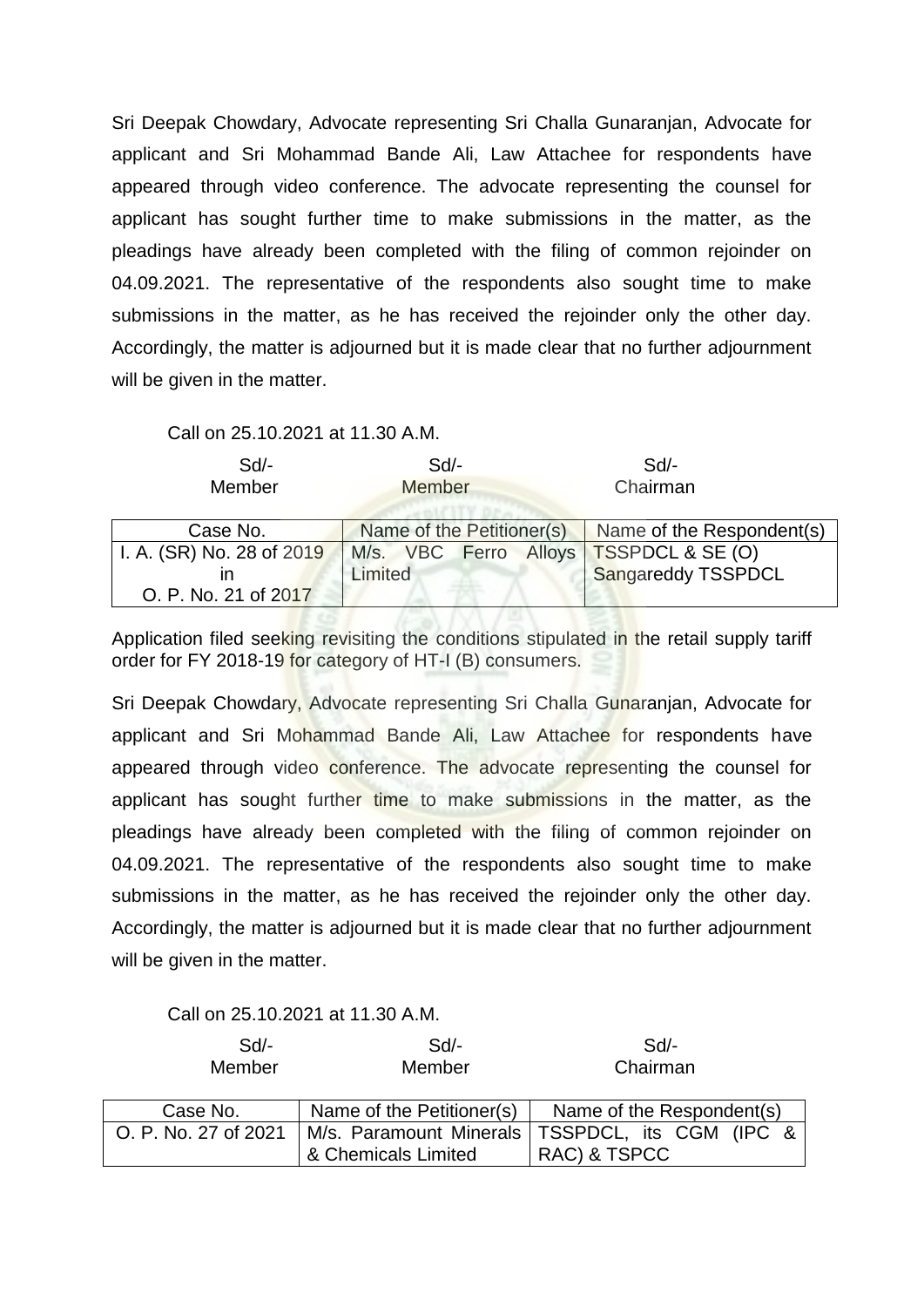Sri Deepak Chowdary, Advocate representing Sri Challa Gunaranjan, Advocate for applicant and Sri Mohammad Bande Ali, Law Attachee for respondents have appeared through video conference. The advocate representing the counsel for applicant has sought further time to make submissions in the matter, as the pleadings have already been completed with the filing of common rejoinder on 04.09.2021. The representative of the respondents also sought time to make submissions in the matter, as he has received the rejoinder only the other day. Accordingly, the matter is adjourned but it is made clear that no further adjournment will be given in the matter.

Call on 25.10.2021 at 11.30 A.M.

| $Sd$ -<br>Member          | Sd<br>Member              |  | $Sd$ -<br>Chairman          |
|---------------------------|---------------------------|--|-----------------------------|
|                           |                           |  |                             |
| Case No.                  | Name of the Petitioner(s) |  | Name of the Respondent(s)   |
| I. A. (SR) No. 28 of 2019 | M/s. VBC Ferro Alloys     |  | <b>TSSPDCL &amp; SE (O)</b> |
| ın                        | Limited                   |  | Sangareddy TSSPDCL          |
| O. P. No. 21 of 2017      |                           |  |                             |

Application filed seeking revisiting the conditions stipulated in the retail supply tariff order for FY 2018-19 for category of HT-I (B) consumers.

Sri Deepak Chowdary, Advocate representing Sri Challa Gunaranjan, Advocate for applicant and Sri Mohammad Bande Ali, Law Attachee for respondents have appeared through video conference. The advocate representing the counsel for applicant has sought further time to make submissions in the matter, as the pleadings have already been completed with the filing of common rejoinder on 04.09.2021. The representative of the respondents also sought time to make submissions in the matter, as he has received the rejoinder only the other day. Accordingly, the matter is adjourned but it is made clear that no further adjournment will be given in the matter.

Call on 25.10.2021 at 11.30 A.M.

| $Sd$ -<br>Member     | $Sd$ -<br>Member          | Sd/-<br>Chairman                                  |
|----------------------|---------------------------|---------------------------------------------------|
| Case No.             | Name of the Petitioner(s) | Name of the Respondent(s)                         |
| O. P. No. 27 of 2021 |                           | M/s. Paramount Minerals   TSSPDCL, its CGM (IPC & |
|                      | & Chemicals Limited       | RAC) & TSPCC                                      |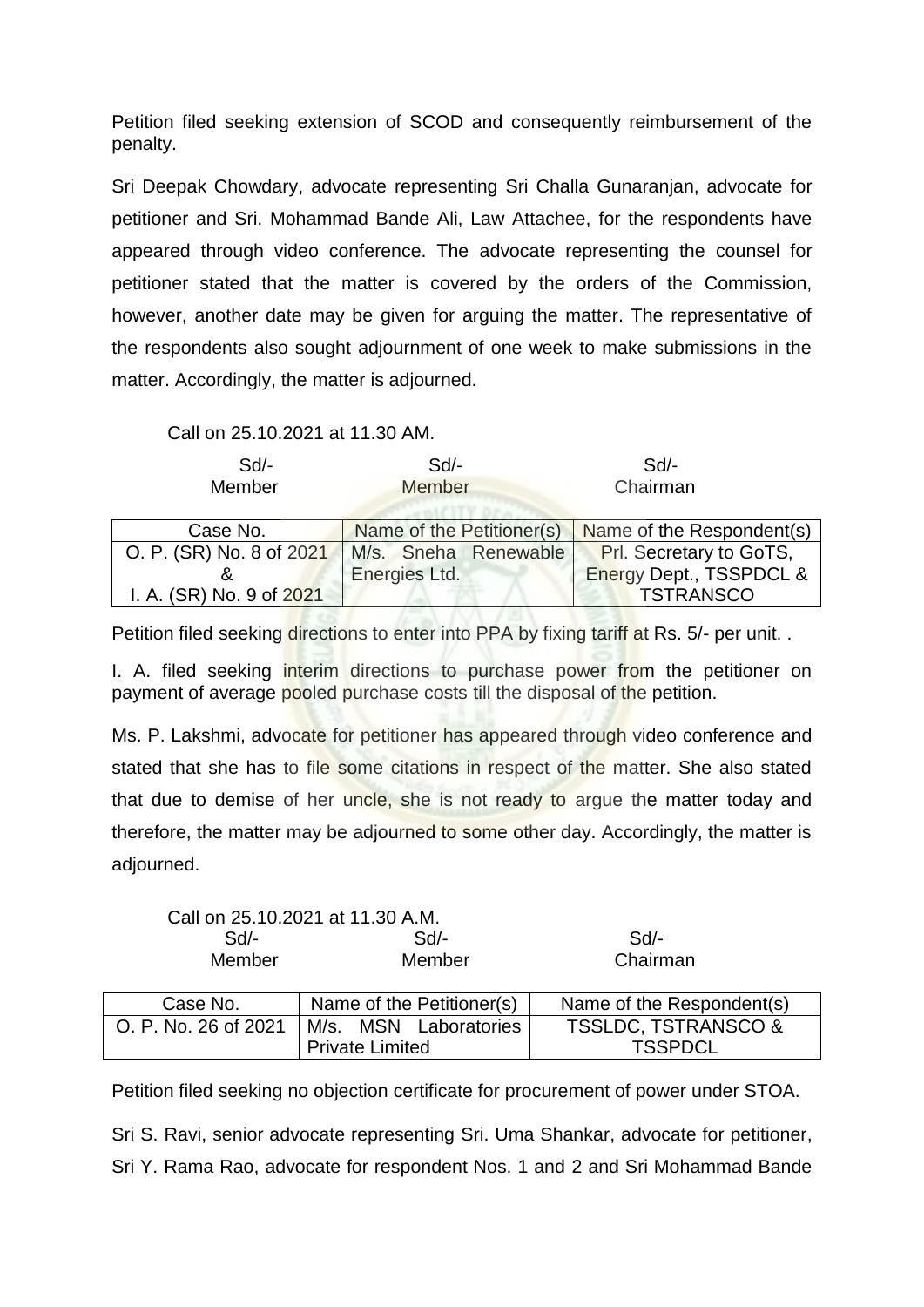Petition filed seeking extension of SCOD and consequently reimbursement of the penalty.

Sri Deepak Chowdary, advocate representing Sri Challa Gunaranjan, advocate for petitioner and Sri. Mohammad Bande Ali, Law Attachee, for the respondents have appeared through video conference. The advocate representing the counsel for petitioner stated that the matter is covered by the orders of the Commission, however, another date may be given for arguing the matter. The representative of the respondents also sought adjournment of one week to make submissions in the matter. Accordingly, the matter is adjourned.

Call on 25.10.2021 at 11.30 AM.

| $Sd$ -                   | $Sd$ -                    | $Sd$ -                    |
|--------------------------|---------------------------|---------------------------|
| Member                   | <b>Member</b>             | Chairman                  |
|                          |                           |                           |
| Case No.                 | Name of the Petitioner(s) | Name of the Respondent(s) |
| O. P. (SR) No. 8 of 2021 | M/s. Sneha Renewable      | Prl. Secretary to GoTS,   |
|                          | Energies Ltd.             | Energy Dept., TSSPDCL &   |
| I. A. (SR) No. 9 of 2021 |                           | <b>TSTRANSCO</b>          |

Petition filed seeking directions to enter into PPA by fixing tariff at Rs. 5/- per unit..

I. A. filed seeking interim directions to purchase power from the petitioner on payment of average pooled purchase costs till the disposal of the petition.

Ms. P. Lakshmi, advocate for petitioner has appeared through video conference and stated that she has to file some citations in respect of the matter. She also stated that due to demise of her uncle, she is not ready to argue the matter today and therefore, the matter may be adjourned to some other day. Accordingly, the matter is adjourned.

| Call on 25.10.2021 at 11.30 A.M. |        |          |
|----------------------------------|--------|----------|
| Sd                               | Sd/-   | $Sd/-$   |
| <b>Member</b>                    | Member | Chairman |

| Case No. | Name of the Petitioner(s)                    | Name of the Respondent(s)      |
|----------|----------------------------------------------|--------------------------------|
|          | O. P. No. 26 of 2021   M/s. MSN Laboratories | <b>TSSLDC, TSTRANSCO &amp;</b> |
|          | <b>Private Limited</b>                       | <b>TSSPDCL</b>                 |

Petition filed seeking no objection certificate for procurement of power under STOA.

Sri S. Ravi, senior advocate representing Sri. Uma Shankar, advocate for petitioner, Sri Y. Rama Rao, advocate for respondent Nos. 1 and 2 and Sri Mohammad Bande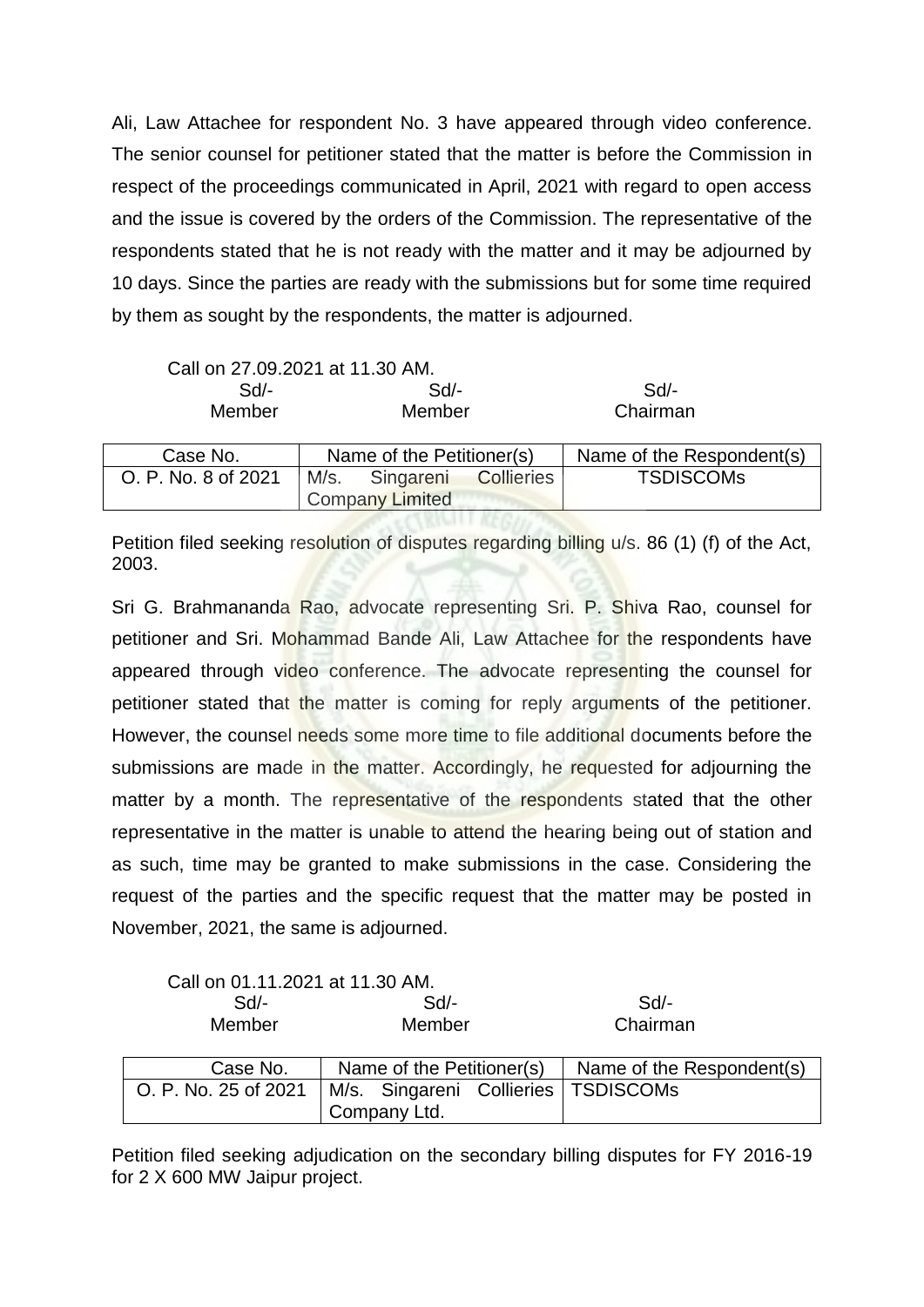Ali, Law Attachee for respondent No. 3 have appeared through video conference. The senior counsel for petitioner stated that the matter is before the Commission in respect of the proceedings communicated in April, 2021 with regard to open access and the issue is covered by the orders of the Commission. The representative of the respondents stated that he is not ready with the matter and it may be adjourned by 10 days. Since the parties are ready with the submissions but for some time required by them as sought by the respondents, the matter is adjourned.

| Call on 27.09.2021 at 11.30 AM. |                           |                           |                           |
|---------------------------------|---------------------------|---------------------------|---------------------------|
| Sd                              | $Sd$ -                    |                           | Sd                        |
| Member                          | Member                    |                           | Chairman                  |
|                                 |                           |                           |                           |
| Case No.                        |                           | Name of the Petitioner(s) | Name of the Respondent(s) |
| O. P. No. 8 of 2021             | M/s. Singareni Collieries |                           | <b>TSDISCOMS</b>          |
|                                 |                           | <b>Company Limited</b>    |                           |

Petition filed seeking resolution of disputes regarding billing u/s. 86 (1) (f) of the Act, 2003.

Sri G. Brahmananda Rao, advocate representing Sri. P. Shiva Rao, counsel for petitioner and Sri. Mohammad Bande Ali, Law Attachee for the respondents have appeared through video conference. The advocate representing the counsel for petitioner stated that the matter is coming for reply arguments of the petitioner. However, the counsel needs some more time to file additional documents before the submissions are made in the matter. Accordingly, he requested for adjourning the matter by a month. The representative of the respondents stated that the other representative in the matter is unable to attend the hearing being out of station and as such, time may be granted to make submissions in the case. Considering the request of the parties and the specific request that the matter may be posted in November, 2021, the same is adjourned.

|  |  | Call on 01.11.2021 at 11.30 AM. |
|--|--|---------------------------------|
|--|--|---------------------------------|

| Sd/-   | Sd/-   | Sd/-     |
|--------|--------|----------|
| Member | Member | Chairman |

| Case No.                                                     | Name of the Petitioner(s) $\vert$ |  |  | Name of the Respondent(s) |
|--------------------------------------------------------------|-----------------------------------|--|--|---------------------------|
| O. P. No. 25 of 2021   M/s. Singareni Collieries   TSDISCOMs |                                   |  |  |                           |
|                                                              | Company Ltd.                      |  |  |                           |

Petition filed seeking adjudication on the secondary billing disputes for FY 2016-19 for 2 X 600 MW Jaipur project.